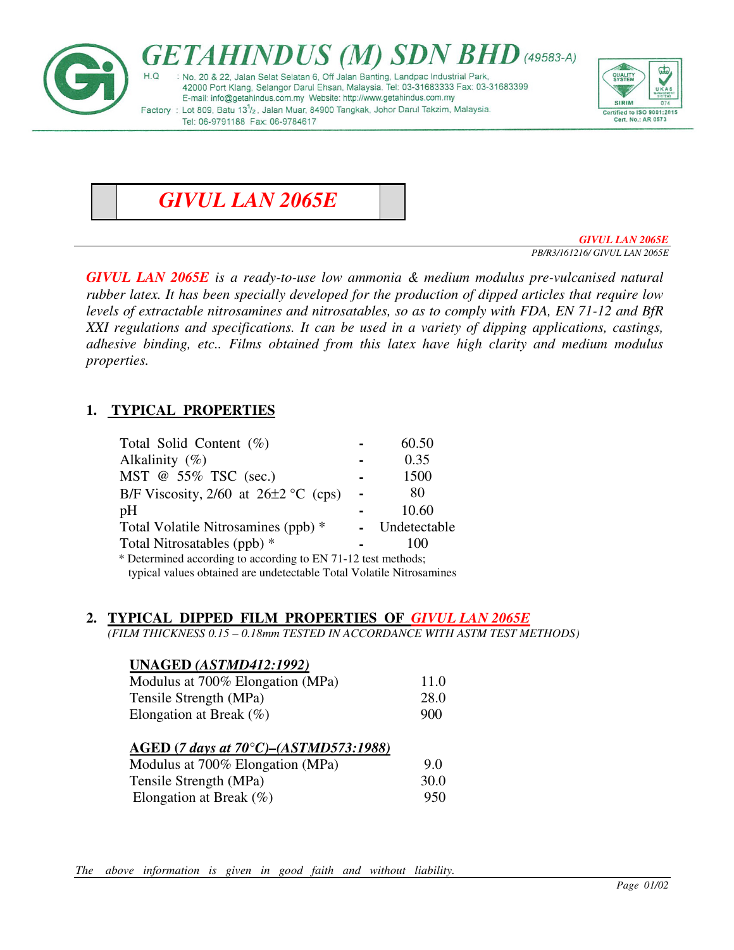

*GIVUL LAN 2065E* 

*GIVUL LAN 2065E* 

*PB/R3/161216/ GIVUL LAN 2065E* 

*GIVUL LAN 2065E is a ready-to-use low ammonia & medium modulus pre-vulcanised natural rubber latex. It has been specially developed for the production of dipped articles that require low levels of extractable nitrosamines and nitrosatables, so as to comply with FDA, EN 71-12 and BfR XXI regulations and specifications. It can be used in a variety of dipping applications, castings, adhesive binding, etc.. Films obtained from this latex have high clarity and medium modulus properties.* 

# **1. TYPICAL PROPERTIES**

| Total Solid Content (%)                                       |  | 60.50        |
|---------------------------------------------------------------|--|--------------|
| Alkalinity $(\%)$                                             |  | 0.35         |
| MST @ 55% TSC (sec.)                                          |  | 1500         |
| B/F Viscosity, $2/60$ at $26\pm2$ °C (cps)                    |  | 80           |
| pH                                                            |  | 10.60        |
| Total Volatile Nitrosamines (ppb) *                           |  | Undetectable |
| Total Nitrosatables (ppb) *                                   |  | 100          |
| * Determined according to according to EN 71-12 test methods; |  |              |
|                                                               |  |              |

typical values obtained are undetectable Total Volatile Nitrosamines

#### **2. TYPICAL DIPPED FILM PROPERTIES OF** *GIVUL LAN 2065E*

*(FILM THICKNESS 0.15 – 0.18mm TESTED IN ACCORDANCE WITH ASTM TEST METHODS)* 

| <b>UNAGED (ASTMD412:1992)</b>                |      |
|----------------------------------------------|------|
| Modulus at 700% Elongation (MPa)             | 11.0 |
| Tensile Strength (MPa)                       | 28.0 |
| Elongation at Break $(\%)$                   | 900  |
| <b>AGED</b> (7 days at 70°C)–(ASTMD573:1988) |      |
| Modulus at 700% Elongation (MPa)             | 9.0  |
| Tensile Strength (MPa)                       | 30.0 |
| Elongation at Break $(\%)$                   | 950  |